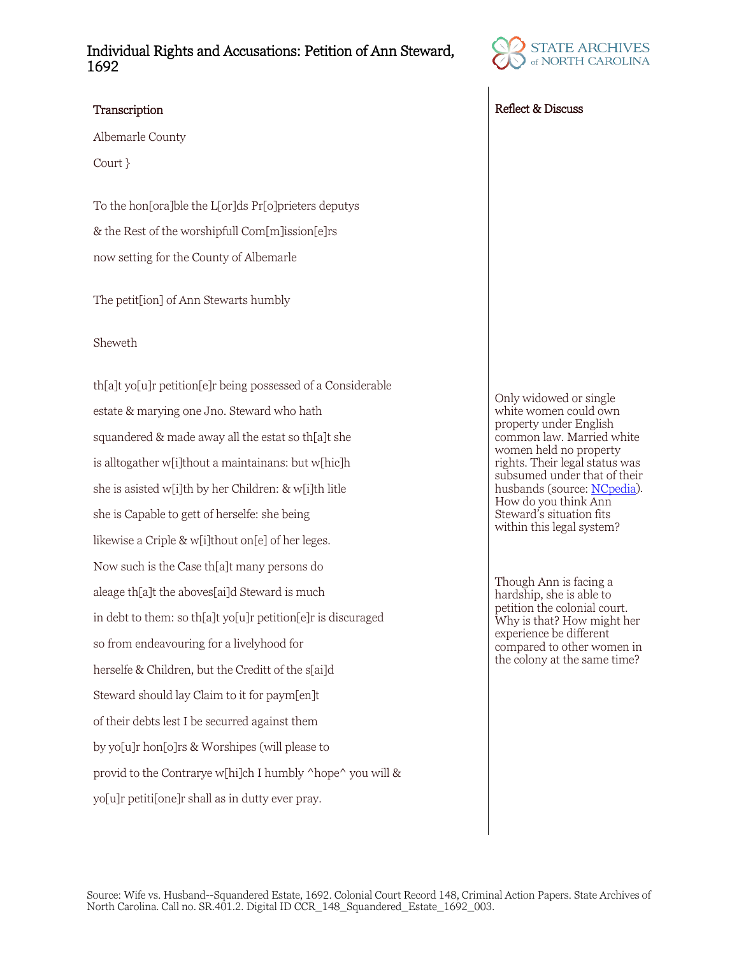## Individual Rights and Accusations: Petition of Ann Steward, 1692

Albemarle County

Court }

To the hon[ora]ble the L[or]ds Pr[o]prieters deputys & the Rest of the worshipfull Com[m]ission[e]rs now setting for the County of Albemarle

The petit[ion] of Ann Stewarts humbly

### Sheweth

th[a]t yo[u]r petition[e]r being possessed of a Considerable estate & marying one Jno. Steward who hath squandered & made away all the estat so th[a]t she is alltogather w[i]thout a maintainans: but w[hic]h she is asisted w[i]th by her Children: & w[i]th litle she is Capable to gett of herselfe: she being likewise a Criple & w[i]thout on[e] of her leges. Now such is the Case th[a]t many persons do aleage th[a]t the aboves[ai]d Steward is much in debt to them: so th[a]t yo[u]r petition[e]r is discuraged so from endeavouring for a livelyhood for herselfe & Children, but the Creditt of the s[ai]d Steward should lay Claim to it for paym[en]t of their debts lest I be securred against them by yo[u]r hon[o]rs & Worshipes (will please to provid to the Contrarye w[hi]ch I humbly ^hope^ you will & yo[u]r petiti[one]r shall as in dutty ever pray.



### Transcription Reflect & Discuss

Only widowed or single white women could own property under English common law. Married white women held no property rights. Their legal status was subsumed under that of their husbands (source: [NCpedia\)](https://www.ncpedia.org/women-part-2-womens-roles-precoloni). How do you think Ann Steward's situation fits within this legal system?

Though Ann is facing a hardship, she is able to petition the colonial court. Why is that? How might her experience be different compared to other women in the colony at the same time?